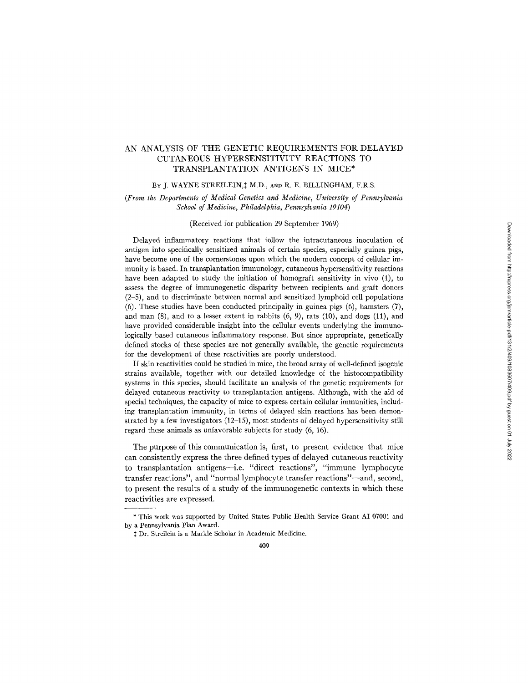# AN ANALYSIS OF THE GENETIC REQUIREMENTS FOR DELAYED CUTANEOUS HYPERSENSITIVITY REACTIONS TO TRANSPLANTATION ANTIGENS IN MICE\*

### BY J. WAYNE STREILEIN, † M.D., AND R. E. BILLINGHAM, F.R.S.

*(From the Departments of Medical Genetics and Medicine, University of Pennsylvania School* of *Medicine, Philadelphia, Pennsylvania 19104)* 

#### (Received for publication 29 September 1969)

Delayed inflammatory reactions that follow the intracutaneous inoculation of antigen into specifically sensitized animals of certain species, especially guinea pigs, have become one of the cornerstones upon which the modern concept of cellular immunity is based. In transplantation immunology, cutaneous hypersensitivity reactions have been adapted to study the initiation of homograft sensitivity in vivo (1), to assess the degree of immunogenetic disparity between recipients and graft donors (2-5), and to discriminate between normal and sensitized lymphoid cell populations (6). These studies have been conducted principally in guinea pigs (6), hamsters (7), and man  $(8)$ , and to a lesser extent in rabbits  $(6, 9)$ , rats  $(10)$ , and dogs  $(11)$ , and have provided considerable insight into the cellular events underlying the immunologically based cutaneous inflammatory response. But since appropriate, genetically defined stocks of these species are not generally available, the genetic requirements for the development of these reactivities are poorly understood.

If skin reactivities could be studied in mice, the broad array of well-defined isogenic strains available, together with our detailed knowledge of the histocompatibility systems in this species, should facilitate an analysis of the genetic requirements for delayed cutaneous reactivity to transplantation antigens. Although, with the aid of special techniques, the capacity of mice to express certain cellular immunities, including transplantation immunity, in terms of delayed skin reactions has been demonstrated by a few investigators (12-15), most students of delayed hypersensitivity still regard these animals as unfavorable subjects for study (6, 16).

The purpose of this communication is, first, to present evidence that mice can consistently express the three defined types of delayed cutaneous reactivity to transplantation antigens--i.e. "direct reactions", "immune lymphocyte transfer reactions", and "normal lymphocyte transfer reactions"--and, second, to present the results of a study of the immunogenetic contexts in which these reactivities are expressed.

<sup>\*</sup> This work was supported by United States Public Health Service Grant AI 07001 and by a Pennsylvania Plan Award.

Dr. Streilein is a Markle Scholar in Academic Medicine.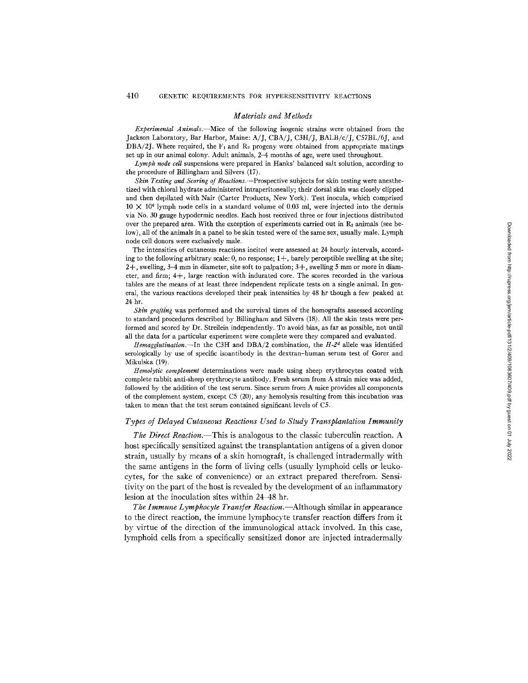#### *Materials and Methods*

*Experimental Animals.--Mice* of the following isogenic strains were obtained from the Jackson Laboratory, Bar Harbor, Maine: A/J, CBA/J, C3H/J, BALB/c/J, C57BL/6J, and DBA/2J. Where required, the F<sub>1</sub> and R<sub>2</sub> progeny were obtained from appropriate matings set up in our animal colony. Adult animals, 2-4 months of age, were used throughout.

*Lymph node cell* suspensions were prepared in Hanks' balanced salt solution, according to the procedure of Billingham and Silvers (17).

*Skin Testing and Scoring of Reactions.*—Prospective subjects for skin testing were anesthetized with chloral hydrate administered intraperitoneally; their dorsal skin was closely clipped and then depilated with Nair (Carter Products, New York). Test inocula, which comprised  $10 \times 10^6$  lymph node cells in a standard volume of 0.03 ml, were injected into the dermis via No. 30 gauge hypodermic needles. Each host received three or four injections distributed over the prepared area. With the exception of experiments carried out in  $R_2$  animals (see below), all of the animals in a panel to be skin tested were of the same *sex,* usually male. Lymph node cell donors were exclusively male.

The intensities of cutaneous reactions incited were assessed at 24 hourly intervals, according to the following arbitrary scale:  $0$ , no response;  $1+$ , barely perceptible swelling at the site; 2+, swelling, 3-4 mm in diameter, site soft to palpation; 3+, swelling 5 mm or more in diameter, and firm; 4+, large reaction with indurated core. The scores recorded in the various tables are the means of at least three independent replicate tests on a single animal. In general, the various reactions developed their peak intensities by 48 hr though a few peaked at 24 hr.

*Skin grafting* was performed and the survival times of the homografts assessed according to standard procedures described by Billingham and Silvers (18). All the skin tests were performed and scored by Dr. Streilein independently. To avoid bias, as far as possible, not until all the data for a particular experiment were complete were they compared and evaluated.

*Hemagglutination.*--In the C3H and DBA/2 combination, the  $H-2^d$  allele was identified serologically by use of specific isoantibody in the dextran-human serum test of Gorer and Mikulska (19).

*Ilemolytic complement* determinations were made using sheep erythrocytes coated with complete rabbit anti-sheep erythrocyte antibody. Fresh serum from A strain mice was added, followed by the addition of the test serum. Since serum from A mice provides all components of the complement system, except C5 (20), any hemolysis resulting from this incubation was taken to mean that the test serum contained significant levels of C5.

### *Types of Delayed Cutaneous Reactions Used to Study Transplantation Immunity*

*The Direct Reaction.*—This is analogous to the classic tuberculin reaction. A host specifically sensitized against the transplantation antigens of a given donor strain, usually by means of a skin homograft, is challenged intradermally with the same antigens in the form of living cells (usually lymphoid cells or leukocytes, for the sake of convenience) or an extract prepared therefrom. Sensitivity on the part of the host is revealed by the development of an inflammatory lesion at the inoculation sites within 24-48 hr.

*The Immune Lymphocyte Transfer Reaction.--Although* similar in appearance to the direct reaction, the immune lymphocyte transfer reaction differs from it by virtue of the direction of the immunological attack involved. In this case, lymphoid cells from a specifically sensitized donor are injected intradermally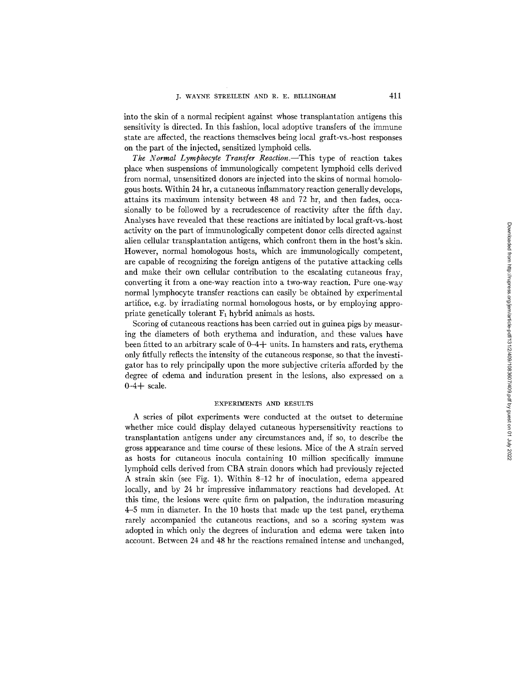into the skin of a normal recipient against whose transplantation antigens this sensitivity is directed. In this fashion, local adoptive transfers of the immune state are affected, the reactions themselves being local graft-vs.-host responses on the part of the injected, sensitized lymphoid cells.

*The Normal Lymphocyte Transfer Reaction.--This* type of reaction takes place when suspensions of immunologically competent lymphoid cells derived from normal, unsensitized donors are injected into the skins of normal homologous hosts. Within 24 hr, a cutaneous inflammatory reaction generally develops, attains its maximum intensity between 48 and 72 hr, and then fades, occasionally to be followed by a recrudescence of reactivity after the fifth day. Analyses have revealed that these reactions are initiated by local graft-vs.-host activity on the part of immunologically competent donor cells directed against alien cellular transplantation antigens, which confront them in the host's skin. However, normal homologous hosts, which are immunologically competent, are capable of recognizing the foreign antigens of the putative attacking cells and make their own cellular contribution to the escalating cutaneous fray, converting it from a one-way reaction into a two-way reaction. Pure one-way normal lymphocyte transfer reactions can easily be obtained by experimental artifice, e.g. by irradiating normal homologous hosts, or by employing appropriate genetically tolerant F1 hybrid animals as hosts.

Scoring of cutaneous reactions has been carried out in guinea pigs by measuring the diameters of both erythema and induration, and these values have been fitted to an arbitrary scale of  $0-4+$  units. In hamsters and rats, erythema only fitfully reflects the intensity of the cutaneous response, so that the investigator has to rely principally upon the more subjective criteria afforded by the degree of edema and induration present in the lesions, also expressed on a  $0-4+$  scale.

#### EXPERIMENTS AND RESULTS

A series of pilot experiments were conducted at the outset to determine whether mice could display delayed cutaneous hypersensitivity reactions to transplantation antigens under any circumstances and, if so, to describe the gross appearance and time course of these lesions. Mice of the A strain served as hosts for cutaneous inocula containing 10 million specifically immune lymphoid cells derived from CBA strain donors which had previously rejected A strain skin (see Fig. 1). Within 8-12 hr of inoculation, edema appeared locally, and by 24 hr impressive inflammatory reactions had developed. At this time, the lesions were quite firm on palpation, the induration measuring 4-5 mm in diameter. In the 10 hosts that made up the test panel, erythema rarely accompanied the cutaneous reactions, and so a scoring system was adopted in which only the degrees of induration and edema were taken into account. Between 24 and 48 hr the reactions remained intense and unchanged,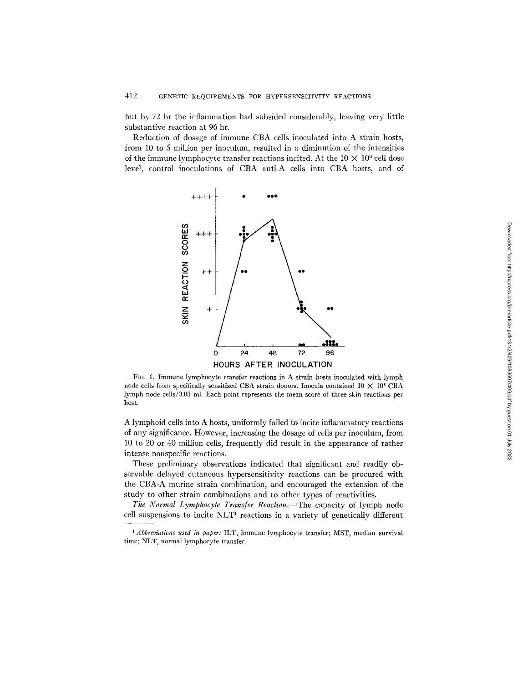but by 72 hr the inflammation had subsided considerably, leaving very little substantive reaction at 96 hr.

Reduction of dosage of immune CBA cells inoculated into A strain hosts, from 10 to 5 million per inoculum, resulted in a diminution of the intensities of the immune lymphocyte transfer reactions incited. At the  $10 \times 10^6$  cell dose level, control inoculations of CBA anti-A cells into CBA hosts, and of



Fro. 1. Immune lymphocyte transfer reactions in A strain hosts inoculated with lymph node cells from specifically sensitized CBA strain donors. Inocula contained  $10 \times 10^6$  CBA lymph node cells/0.03 ml. Each point represents the mean score of three skin reactions per host.

A lymphoid cells into A hosts, uniformly failed to incite inflammatory reactions of any significance. However, increasing the dosage of cells per inoculum, from 10 to 20 or 40 million cells, frequently did result in the appearance of rather intense nonspecific reactions.

These preliminary observations indicated that significant and readily observable delayed cutaneous hypersensitivity reactions can be procured with the CBA-A murine strain combination, and encouraged the extension of the study to other strain combinations and to other types of reactivities.

*The Normal Lymphocyte Transfer Reaction.--The* capacity of lymph node cell suspensions to incite NLT<sup>1</sup> reactions in a variety of genetically different

*<sup>1</sup> Abbreviations used in paper:* ILT, immune lymphocyte transfer; MST, median survival time; NLT, normal lymphocyte transfer.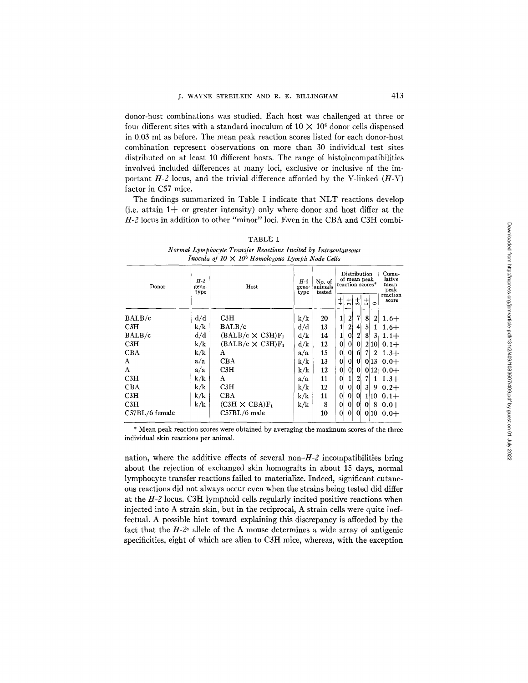donor-host combinations was studied. Each host was challenged at three or four different sites with a standard inoculum of  $10 \times 10^6$  donor cells dispensed in 0.03 ml as before. The mean peak reaction scores listed for each donor-host combination represent observations on more than 30 individual test sites distributed on at least 10 different hosts. The range of histoincompatibilities involved included differences at many loci, exclusive or inclusive of the important  $H-2$  locus, and the trivial difference afforded by the Y-linked  $(H-Y)$ factor in C57 mice.

The findings summarized in Table I indicate that NLT reactions develop (i.e. attain  $1+$  or greater intensity) only where donor and host differ at the *H-2* locus in addition to other "minor" loci. Even in the CBA and C3H combi-

| Donor          | $H-2$<br>geno-<br>type | Host                     | $H-2$<br>geno-<br>type | No. of<br>animals<br>tested |                 |                | Distribution<br>of mean peak<br>reaction scores* |                |                | Cumu-<br>lative<br>mean<br>peak |
|----------------|------------------------|--------------------------|------------------------|-----------------------------|-----------------|----------------|--------------------------------------------------|----------------|----------------|---------------------------------|
|                |                        |                          |                        |                             | $\ddagger$      | 치              | $\frac{1}{2}$                                    | $\pm$          | $\bullet$      | reaction<br>score               |
| BALB/c         | d/d                    | C3H                      | k/k                    | 20                          |                 | $\overline{2}$ | 71                                               | 8              | $\overline{2}$ | $1.6+$                          |
| C3H            | k/k                    | BALB/c                   | d/d                    | 13                          |                 | 2              | 41                                               | $\mathsf{S}$   | 1              | $1.6+$                          |
| BALB/c         | d/d                    | $(BALB/c \times C3H)F_1$ | d/k                    | 14                          | 1               | $\bf{0}$       | 2                                                | 8              | 3              | $1.1 +$                         |
| C3H            | k/k                    | $(BALB/c \times C3H)F_1$ | d/k                    | 12                          | $\overline{0}$  | $\Omega$       | $\Omega$                                         |                | 2 10           | $0.1 +$                         |
| <b>CBA</b>     | k/k                    | A                        | a/a                    | 15                          | $\vert 0 \vert$ | 01             | 61                                               |                | $\overline{2}$ | $1.3+$                          |
| A              | a/a                    | CBA                      | k/k                    | 13                          | $\bf{0}$        | $\Omega$       | $\bf{0}$                                         |                | 0 13           | $0.0 +$                         |
| A              | a/a                    | C3H                      | k/k                    | 12                          | $\bf{0}$        | $\Omega$       | $\Omega$                                         |                | 0 12           | $0.0 +$                         |
| C3H            | k/k                    | A                        | a/a                    | 11                          | $\overline{0}$  |                | 2                                                |                |                | $1.3+$                          |
| <b>CBA</b>     | k/k                    | C3H                      | k/k                    | 12                          | $\vert 0 \vert$ | $\Omega$       | 0                                                | $\overline{3}$ | 9              | $0.2 +$                         |
| C3H            | k/k                    | <b>CBA</b>               | k/k                    | 11                          | $\overline{0}$  | $\Omega$       | Ωl                                               |                | 1 10           | $0.1 +$                         |
| C3H            | k/k                    | $(C3H \times CBA)F_1$    | k/k                    | 8                           | $\overline{0}$  | $\overline{0}$ | $\Omega$                                         | $\Omega$       | 81             | $0.0 +$                         |
| C57BL/6 female |                        | C57BL/6 male             |                        | 10                          | $\overline{0}$  | $\Omega$       | $\Omega$                                         |                | 0 10           | $0.0 +$                         |

TABLE I

*Normal Lymphocyte Transfer Reactions Incited by Intracutaneous Inocul, of 10 X 10 s Homologous Lymph Node Cells* 

\* Mean peak reaction scores were obtained by averaging the maximum scores of the three individual skin reactions per animal.

nation, where the additive effects of several non- $H-2$  incompatibilities bring about the rejection of exchanged skin homografts in about 15 days, normal lymphocyte transfer reactions failed to materialize. Indeed, significant cutaneous reactions did not always occur even when the strains being tested did differ at the *H-2* locus. C3H lymphoid cells regularly incited positive reactions when injected into A strain skin, but in the reciprocal, A strain cells were quite ineffectual. A possible hint toward explaining this discrepancy is afforded by the fact that the  $H-2<sup>a</sup>$  allele of the A mouse determines a wide array of antigenic specificities, eight of which are alien to C3H mice, whereas, with the exception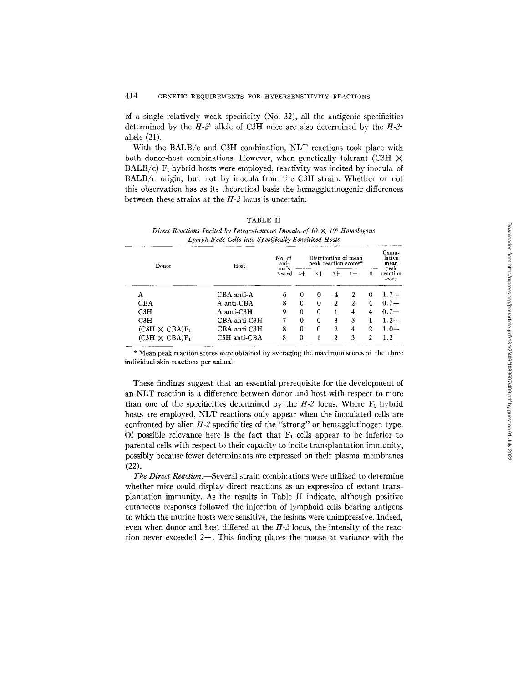of a single relatively weak specificity (No. 32), all the antigenic specificities determined by the  $H-2^k$  allele of C3H mice are also determined by the  $H-2^a$ allele (21).

With the BALB/c and C3H combination, NLT reactions took place with both donor-host combinations. However, when genetically tolerant (C3H  $\times$  $BALB/c$ )  $F<sub>1</sub>$  hybrid hosts were employed, reactivity was incited by inocula of BALB/c origin, but not by inocula from the C3H strain. Whether or not this observation has as its theoretical basis the hemagglutinogenic differences between these strains at the *H-2* locus is uncertain.

| - 1 m i | D |  |
|---------|---|--|
|---------|---|--|

*Direct Reactions Incited by Intracutaneous [nocula of 10 X 106 Homologous Lymph Node Cells into Specifically Sensitized ttosts* 

| Donor                 | Host         | No. of<br>ani- |          |          |         | Distribution of mean<br>peak reaction scores* |          | Cumu-<br>lative<br>mean   |
|-----------------------|--------------|----------------|----------|----------|---------|-----------------------------------------------|----------|---------------------------|
|                       |              | mals<br>tested | $4+$     | $3+$     | $^{2+}$ | $1+$                                          | 0        | peak<br>reaction<br>score |
| Α                     | CBA anti-A   | 6              | 0        | $\Omega$ | 4       | 2                                             | $\Omega$ | $1.7 +$                   |
| <b>CBA</b>            | A anti-CBA   | 8              | 0        | 0        | 2       | 2                                             | 4        | $0.7 +$                   |
| C3H                   | A anti-C3H   | 9              | $\Omega$ | 0        |         | 4                                             | 4        | $0.7 +$                   |
| C3H                   | CBA anti-C3H |                | 0        | $\Omega$ | 3       | 3                                             |          | $1.2 +$                   |
| $(C3H \times CBA)F_1$ | CBA anti-C3H | 8              | $\bf{0}$ | $\Omega$ | 2       | 4                                             | 2        | $1.0 +$                   |
| $(C3H \times CBA)F_1$ | C3H anti-CBA | 8              | 0        |          | 2       | 3                                             | 2        | 1.2                       |
|                       |              |                |          |          |         |                                               |          |                           |

\* Mean peak reaction scores were obtained by averaging the maximum scores of the three individual skin reactions per animal.

These fndings suggest that an essential prerequisite for the development of an NLT reaction is a difference between donor and host with respect to more than one of the specificities determined by the  $H-2$  locus. Where  $F_1$  hybrid hosts are employed, NLT reactions only appear when the inoculated cells are confronted by alien  $H-2$  specificities of the "strong" or hemagglutinogen type. Of possible relevance here is the fact that  $F_1$  cells appear to be inferior to parental cells with respect to their capacity to incite transplantation immunity, possibly because fewer determinants are expressed on their plasma membranes (22).

*The Direct Reaction.--Several* strain combinations were utilized to determine whether mice could display direct reactions as an expression of extant transplantation immunity. As the results in Table II indicate, although positive cutaneous responses followed the injection of lymphoid cells bearing antigens to which the murine hosts were sensitive, the lesions were unimpressive. Indeed, even when donor and host differed at the *H-2* locus, the intensity of the reaction never exceeded  $2+$ . This finding places the mouse at variance with the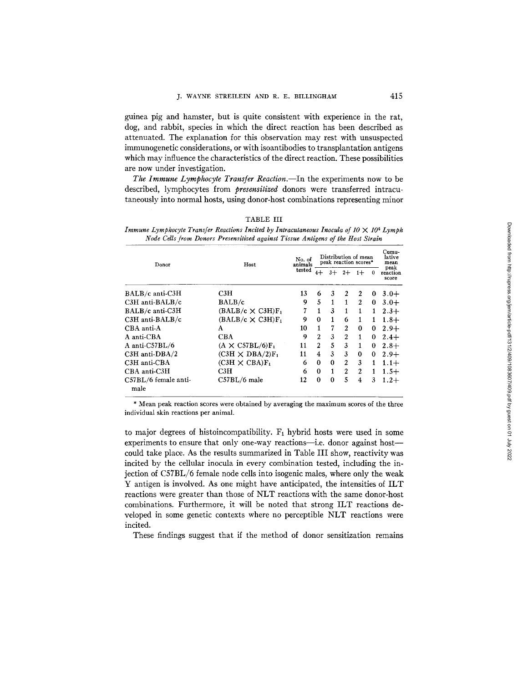guinea pig and hamster, but is quite consistent with experience in the rat, dog, and rabbit, species in which the direct reaction has been described as attenuated. The explanation for this observation may rest with unsuspected immunogenetic considerations, or with isoantibodies to transplantation antigens which may influence the characteristics of the direct reaction. These possibilities are now under investigation.

*The Immune Lymphocyte Transfer Reaction.--In* the experiments now to be described, lymphocytes from *presensitized* donors were transferred intracutaneously into normal hosts, using donor-host combinations representing minor

TABLE III

*Immune Lymphocyte Transfer Reactions Incited by Intracutaneous Inocula of*  $10 \times 10^8$  *Lymph Node Cells from Donors Presensitized against Tissue Antigens of the Host Strain* 

| Donor                        | Host                     | No. of<br>animals | Distribution of mean<br>peak reaction scores* | Cumu-<br>lative<br>mean<br>peak |                |              |    |                   |
|------------------------------|--------------------------|-------------------|-----------------------------------------------|---------------------------------|----------------|--------------|----|-------------------|
|                              |                          | tested            | $4+$<br>$3+$                                  |                                 | $2+$           | $1+$         | 0  | reaction<br>score |
| BALB/c anti-C3H              | C3H                      | 13                | 6                                             | 3                               | 2              | 2            | 0  | $3.0+$            |
| C3H anti-BALB/c              | BALB/c                   | 9                 | 5                                             | $\mathbf{1}$                    | 1              | $\mathbf{2}$ | 0  | $3.0+$            |
| BALB/c anti-C3H              | $(BALB/c \times C3H)F_1$ | 7                 | 1                                             | 3                               | 1              | 1            | 1. | $2.3+$            |
| $C3H$ anti-BALB/c            | $(BALB/c \times C3H)F_1$ | 9                 | $\Omega$                                      | 1                               | 6              | 1            | 1. | $1.8 +$           |
| CBA anti-A                   | A                        | 10                | 1                                             | 7                               | $\mathbf{2}$   | $\Omega$     | 0  | $2.9+$            |
| A anti-CBA                   | <b>CBA</b>               | 9                 | $\overline{2}$                                | 3                               | $\mathbf{2}$   | 1            | 0  | $2.4+$            |
| A anti-C57BL/6               | $(A \times C57BL/6)F_1$  | 11                | 2                                             | 5                               | 3              | 1            | 0  | $2.8 +$           |
| $C3H$ anti-DBA/2             | $(C3H \times DBA/2)F_1$  | 11                | 4                                             | 3                               | 3              | 0            | 0  | $2.9+$            |
| C3H anti-CBA                 | $(C3H \times CBA)F_1$    | 6                 | $\Omega$                                      | $\Omega$                        | $\overline{2}$ | 3            |    | $1.1 +$           |
| CBA anti-C3H                 | C3H                      | 6                 | $\bf{0}$                                      | $\mathbf{1}$                    | $\mathbf{2}$   | $\mathbf{2}$ | 1  | $1.5+$            |
| C57BL/6 female anti-<br>male | $C57BL/6$ male           | 12                | 0                                             | $\Omega$                        | 5              | 4            | 3  | $1.2 +$           |

\* Mean peak reaction scores were obtained by averaging the maximum scores of the three individual skin reactions per animal.

to major degrees of histoincompatibility.  $F_1$  hybrid hosts were used in some experiments to ensure that only one-way reactions--i.e. donor against host-could take place. As the results summarized in Table III show, reactivity was incited by the cellular inocula in every combination tested, including the injection of C57BL/6 female node cells into isogenic males, where only the weak Y antigen is involved. As one might have anticipated, the intensities of ILT reactions were greater than those of NLT reactions with the same donor-host combinations. Furthermore, it will be noted that strong ILT reactions developed in some genetic contexts where no perceptible NLT reactions were incited.

These findings suggest that if the method of donor sensitization remains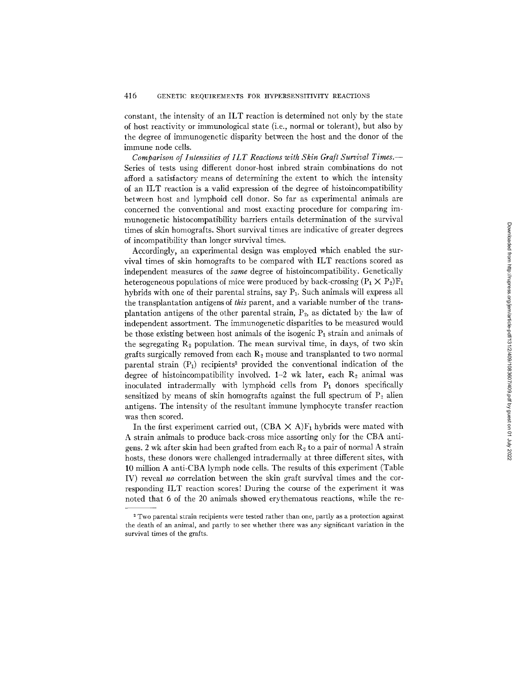constant, the intensity of an ILT reaction is determined not only by the state of host reactivity or immunological state (i.e., normal or tolerant), but also by the degree of immunogenetic disparity between the host and the donor of the immune node cells.

*Comparison of Intensities of ILT Reactions with Skin. Graft Survival Times.-*  Series of tests using different donor-host inbred strain combinations do not afford a satisfactory means of determining the extent to which the intensity of an ILT reaction is a valid expression of the degree of histoincompatibility between host and lymphoid cell donor. So far as experimental animals are concerned the conventional and most exacting procedure for comparing immunogenetic histocompatibility barriers entails determination of the survival times of skin homografts. Short survival times are indicative of greater degrees of incompatibility than longer survival times.

Accordingly, an experimental design was employed which enabled the survival times of skin homografts to be compared with ILT reactions scored as independent measures of the *same* degree of histoincompatibility. Genetically heterogeneous populations of mice were produced by back-crossing  $(P_1 \times P_2)F_1$ hybrids with one of their parental strains, say P<sub>1</sub>. Such animals will express all the transplantation antigens of *this* parent, and a variable number of the transplantation antigens of the other parental strain, P<sub>2</sub>, as dictated by the law of independent assortment. The immunogenetic disparities to be measured would be those existing between host animals of the isogenic  $P_1$  strain and animals of the segregating  $R_2$  population. The mean survival time, in days, of two skin grafts surgically removed from each  $R_2$  mouse and transplanted to two normal parental strain  $(P_1)$  recipients<sup>2</sup> provided the conventional indication of the degree of histoincompatibility involved.  $1-2$  wk later, each  $R_2$  animal was inoculated intradermally with lymphoid cells from P1 donors specifically sensitized by means of skin homografts against the full spectrum of  $P_2$  alien antigens. The intensity of the resultant immune lymphocyte transfer reaction was then scored.

In the first experiment carried out,  $(CBA \times A)F_1$  hybrids were mated with A strain animals to produce back-cross mice assorting only for the CBA antigens. 2 wk after skin had been grafted from each  $R_2$  to a pair of normal A strain hosts, these donors were challenged intradermally at three different sites, with 10 million A anti-CBA lymph node cells. The results of this experiment (Table IV) reveal *no* correlation between the skin graft survival times and the corresponding ILT reaction scores! During the course of the experiment it was noted that 6 of the 20 animals showed erythematous reactions, while the re-

<sup>2</sup> Two parental strain recipients were tested rather than one, partly as a protection against the death of an animal, and partly to see whether there was any significant variation in the survival times of the grafts.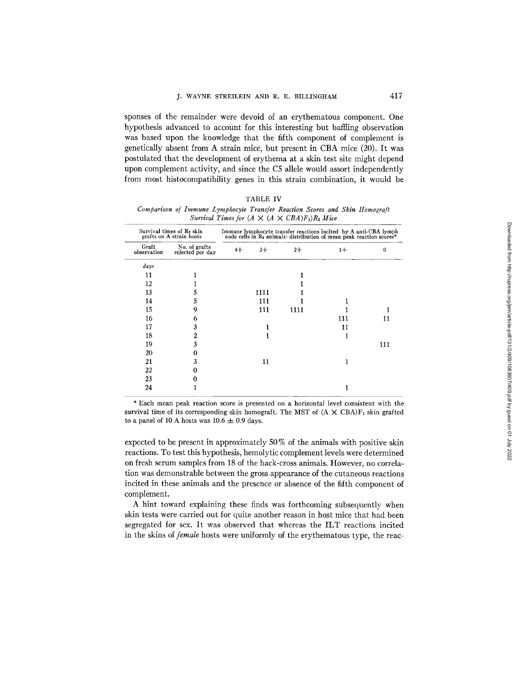sponses of the remainder were devoid of an erythematous component. One hypothesis advanced to account for this interesting but baffling observation was based upon the knowledge that the fifth component of complement is genetically absent from A strain mice, but present in CBA mice (20). It was postulated that the development of erythema at a skin test site might depend upon complement activity, and since the C5 allele would assort independently from most histocompatibility genes in this strain combination, it would be

| т. |
|----|
|----|

*Comparison of Immune Lymphocyte Transfer Reaction Scores and Skin Homograft Survival Times for*  $(A \times (A \times CBA)F_1)R_2$  *Mice* 

|                      | Survival times of R <sub>2</sub> skin<br>grafts on A strain hosts |      |      |      | Immune lymphocyte transfer reactions incited by A anti-CBA lymph node cells in $R_2$ animals: distribution of mean peak reaction scores* |          |
|----------------------|-------------------------------------------------------------------|------|------|------|------------------------------------------------------------------------------------------------------------------------------------------|----------|
| Graft<br>observation | No. of grafts<br>rejected per day                                 | $4+$ | $3+$ | $2+$ | $1+$                                                                                                                                     | $\bf{0}$ |
| days                 |                                                                   |      |      |      |                                                                                                                                          |          |
| 11                   |                                                                   |      |      |      |                                                                                                                                          |          |
| 12                   |                                                                   |      |      |      |                                                                                                                                          |          |
| 13                   |                                                                   |      | 1111 |      |                                                                                                                                          |          |
| 14                   | 5                                                                 |      | 111  |      |                                                                                                                                          |          |
| 15                   | 9                                                                 |      | 111  | 1111 |                                                                                                                                          |          |
| 16                   | 6                                                                 |      |      |      | 111                                                                                                                                      | 11       |
| 17                   | 3                                                                 |      |      |      | 11                                                                                                                                       |          |
| 18                   | 2                                                                 |      |      |      |                                                                                                                                          |          |
| 19                   | 3                                                                 |      |      |      |                                                                                                                                          | 111      |
| 20                   |                                                                   |      |      |      |                                                                                                                                          |          |
| 21                   | 3                                                                 |      | 11   |      | 1                                                                                                                                        |          |
| 22                   |                                                                   |      |      |      |                                                                                                                                          |          |
| 23                   |                                                                   |      |      |      |                                                                                                                                          |          |
| 24                   |                                                                   |      |      |      |                                                                                                                                          |          |

\* Each mean peak reaction score is presented on a horizontal level consistent with the survival time of its corresponding skin homograft. The MST of  $(A \times CBA)F_1$  skin grafted to a panel of 10 A hosts was  $10.6 \pm 0.9$  days.

expected to be present in approximately  $50\%$  of the animals with positive skin reactions. To test this hypothesis, hemolytic complement levels were determined on fresh serum samples from 18 of the back-cross animals. However, no correlation was demonstrable between the gross appearance of the cutaneous reactions incited in these animals and the presence or absence of the fifth component of complement.

A hint toward explaining these finds was forthcoming subsequently when skin tests were carried out for quite another reason in host mice that had been segregated for sex. It was observed that whereas the ILT reactions incited in the skins of *female* hosts were uniformly of the erythematous type, the reac-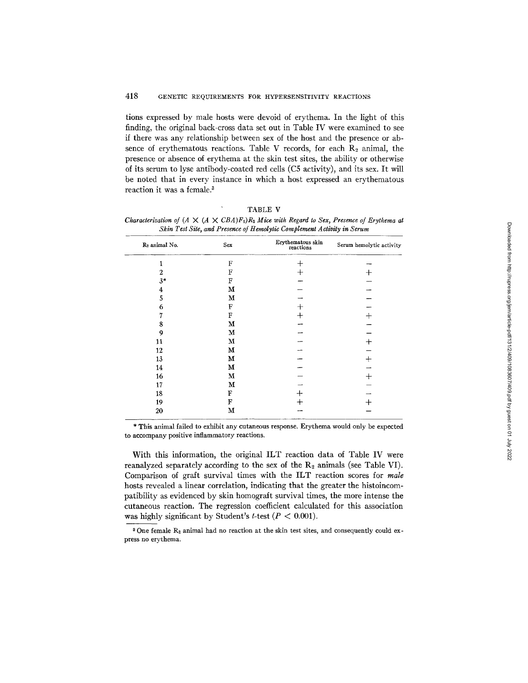#### 418 GENETIC REQUIREMENTS FOR HYPERSENSITIVITY REACTIONS

tions expressed by male hosts were devoid of erythema. In the light of this finding, the original back-cross data set out in Table IV were examined to see if there was any relationship between sex of the host and the presence or absence of erythematous reactions. Table V records, for each  $R_2$  animal, the presence or absence of erythema at the skin test sites, the ability or otherwise of its serum to lyse antibody-coated red cells (C5 activity), and its sex. It will be noted that in every instance in which a host expressed an erythematous reaction it was a female.<sup>3</sup>

| Characterization of $(A \times (A \times CBA)F_1)R_2$ Mice with Regard to Sex, Presence of Erythema at |  |                                                                        |  |  |  |
|--------------------------------------------------------------------------------------------------------|--|------------------------------------------------------------------------|--|--|--|
|                                                                                                        |  | Skin Test Site, and Presence of Hemolytic Complement Activity in Serum |  |  |  |

| R <sub>2</sub> animal No. | Sex | Erythematous skin<br>reactions | Serum hemolytic activity |
|---------------------------|-----|--------------------------------|--------------------------|
|                           | F   | $\pm$                          |                          |
| $\mathfrak{D}$            | F   | $\pm$                          | ┿                        |
| $3*$                      | F   |                                |                          |
| 4                         | м   |                                |                          |
| 5                         | М   |                                |                          |
| 6                         | F   | $^{+}$                         |                          |
| 7                         | F   | $+$                            | $^{+}$                   |
| 8                         | М   |                                |                          |
| 9                         | М   |                                |                          |
| 11                        | м   |                                | $^{+}$                   |
| 12                        | м   |                                |                          |
| 13                        | М   |                                | $^{+}$                   |
| 14                        | м   |                                |                          |
| 16                        | м   |                                | $^{+}$                   |
| 17                        | М   |                                |                          |
| 18                        | F   | $^{+}$                         |                          |
| 19                        | F   | $^{+}$                         | ┿                        |
| 20                        | М   |                                |                          |

\* This animal failed to exhibit any cutaneous response. Erythema would only be expected to accompany positive inflammatory reactions.

With this information, the original ILT reaction data of Table IV were reanalyzed separately according to the sex of the  $R_2$  animals (see Table VI). Comparison of graft survival times with the ILT reaction scores for *male*  hosts revealed a linear correlation, indicating that the greater the histoincompatibility as evidenced by skin homograft survival times, the more intense the cutaneous reaction. The regression coefficient calculated for this association was highly significant by Student's t-test  $(P < 0.001)$ .

<sup>3</sup> One female  $R_2$  animal had no reaction at the skin test sites, and consequently could express no erythema.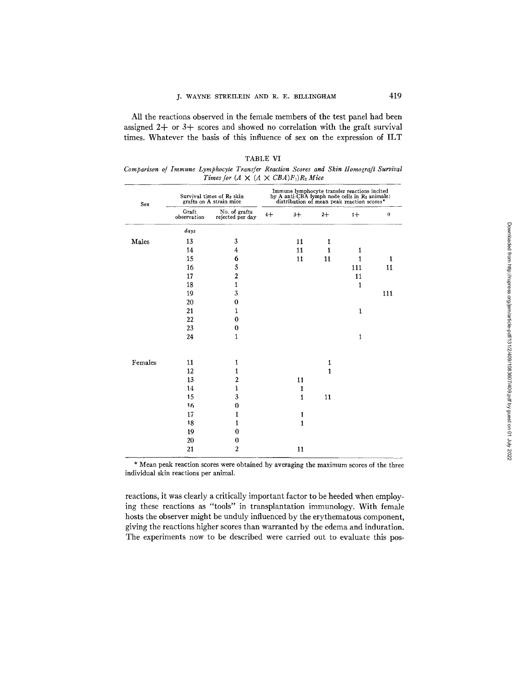All the reactions observed in the female members of the test panel had been assigned  $2+$  or  $3+$  scores and showed no correlation with the graft survival times. Whatever the basis of this influence of sex on the expression of ILT

|  |                                                                                      | <b>TABLE VI</b> |  |  |  |  |
|--|--------------------------------------------------------------------------------------|-----------------|--|--|--|--|
|  | Comparison of Immune Lymphocyte Transfer Reaction Scores and Skin Homograft Survival |                 |  |  |  |  |
|  | Times for $(A \times (A \times CBA)F_1)R_2$ Mice                                     |                 |  |  |  |  |

| Sex     |                      | Survival times of R2 skin<br>grafts on A strain mice |      |              |              | Immune lymphocyte transfer reactions incited<br>by A anti-CBA lymph node cells in R <sub>2</sub> animals:<br>distribution of mean peak reaction scores* |              |
|---------|----------------------|------------------------------------------------------|------|--------------|--------------|---------------------------------------------------------------------------------------------------------------------------------------------------------|--------------|
|         | Graft<br>observation | No. of grafts<br>rejected per day                    | $4+$ | $3+$         | $2+$         | $1+$                                                                                                                                                    | $\bf{0}$     |
|         | $_{days}$            |                                                      |      |              |              |                                                                                                                                                         |              |
| Males   | 13                   | 3                                                    |      | 11           | 1            |                                                                                                                                                         |              |
|         | 14                   | 4                                                    |      | 11           | $\mathbf{1}$ | $\mathbf{1}$                                                                                                                                            |              |
|         | 15                   | 6                                                    |      | 11           | 11           | $\mathbf{1}$                                                                                                                                            | $\mathbf{1}$ |
|         | 16                   | 5                                                    |      |              |              | 111                                                                                                                                                     | 11           |
|         | 17                   | $\overline{\mathbf{c}}$                              |      |              |              | 11                                                                                                                                                      |              |
|         | 18                   | $\mathbf{1}$                                         |      |              |              | $\mathbf{1}$                                                                                                                                            |              |
|         | 19                   | 3                                                    |      |              |              |                                                                                                                                                         | 111          |
|         | 20                   | 0                                                    |      |              |              |                                                                                                                                                         |              |
|         | 21                   | 1                                                    |      |              |              | 1                                                                                                                                                       |              |
|         | 22                   | $\mathbf{0}$                                         |      |              |              |                                                                                                                                                         |              |
|         | 23                   | 0                                                    |      |              |              |                                                                                                                                                         |              |
|         | 24                   | 1                                                    |      |              |              | 1                                                                                                                                                       |              |
| Females | 11                   | $\mathbf{1}$                                         |      |              | 1            |                                                                                                                                                         |              |
|         | 12                   | 1                                                    |      |              | $\mathbf{1}$ |                                                                                                                                                         |              |
|         | 13                   | $\boldsymbol{2}$                                     |      | 11           |              |                                                                                                                                                         |              |
|         | 14                   | $\mathbf{1}$                                         |      | $\mathbf{1}$ |              |                                                                                                                                                         |              |
|         | 15                   | 3                                                    |      | $\mathbf{1}$ | 11           |                                                                                                                                                         |              |
|         | 16                   | 0                                                    |      |              |              |                                                                                                                                                         |              |
|         | 17                   | 1                                                    |      | 1            |              |                                                                                                                                                         |              |
|         | 18                   | 1                                                    |      | $\mathbf{1}$ |              |                                                                                                                                                         |              |
|         | 19                   | 0                                                    |      |              |              |                                                                                                                                                         |              |
|         | 20                   | 0                                                    |      |              |              |                                                                                                                                                         |              |
|         | 21                   | $\overline{c}$                                       |      | 11           |              |                                                                                                                                                         |              |

\* Mean peak reaction scores were obtained by averaging the maximum scores of the three individual skin reactions per animal.

reactions, it was clearly a critically important factor to be heeded when employing these reactions as "tools" in transplantation immunology. With female hosts the observer might be unduly influenced by the erythematous component, giving the reactions higher scores than warranted by the edema and induration. The experiments now to be described were carried out to evaluate this pos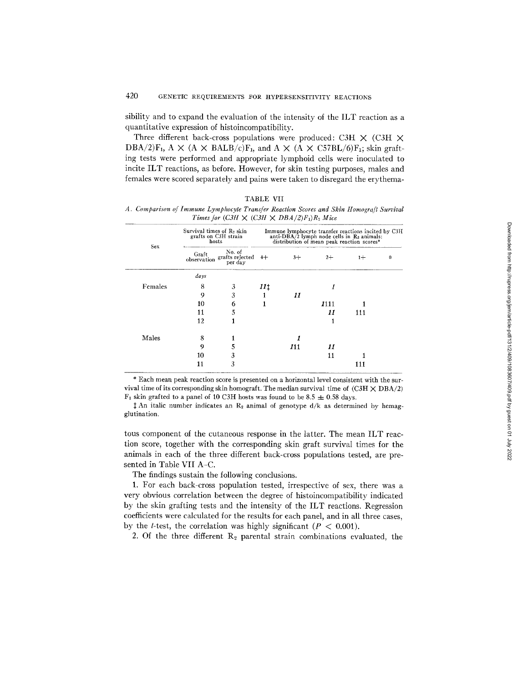sibility and to expand the evaluation of the intensity of the ILT reaction as a quantitative expression of histoincompatibility.

Three different back-cross populations were produced: C3H  $\times$  (C3H  $\times$ DBA/2)F<sub>1</sub>, A  $\times$  (A  $\times$  BALB/c)F<sub>1</sub>, and A  $\times$  (A  $\times$  C57BL/6)F<sub>1</sub>; skin grafting tests were performed and appropriate lymphoid cells were inoculated to incite ILT reactions, as before. However, for skin testing purposes, males and females were scored separately and pains were taken to disregard the erythema-

| <b>TARLE</b> |
|--------------|
|--------------|

*A. Comparison of Immune Lymphocyte Transfer Reaction Scores aud Skin Homografl Survival Times for*  $(C3H \times (C3H \times DBA/2)F_1)R_2$  *Mice* 

| Sex     | Survival times of $R_2$ skin<br>grafts on C3H strain<br>hosts |                                      | Immune lymphocyte transfer reactions incited by C3H<br>anti-DBA/2 lymph node cells in $R_2$ animals:<br>distribution of mean peak reaction scores* |      |      |      |   |  |  |  |
|---------|---------------------------------------------------------------|--------------------------------------|----------------------------------------------------------------------------------------------------------------------------------------------------|------|------|------|---|--|--|--|
|         | Graft<br>observation                                          | No. of<br>grafts rejected<br>per day | $4+$                                                                                                                                               | $3+$ | $2+$ | $1+$ | 0 |  |  |  |
|         | days                                                          |                                      |                                                                                                                                                    |      |      |      |   |  |  |  |
| Females | 8                                                             | 3                                    | 11‡                                                                                                                                                |      |      |      |   |  |  |  |
|         | 9                                                             | 3                                    |                                                                                                                                                    | 11   |      |      |   |  |  |  |
|         | 10                                                            | 6                                    |                                                                                                                                                    |      | 1111 |      |   |  |  |  |
|         | 11                                                            | 5                                    |                                                                                                                                                    |      | 11   | 111  |   |  |  |  |
|         | 12                                                            |                                      |                                                                                                                                                    |      |      |      |   |  |  |  |
| Males   | 8                                                             |                                      |                                                                                                                                                    |      |      |      |   |  |  |  |
|         | 9                                                             | 5                                    |                                                                                                                                                    | 111  | 11   |      |   |  |  |  |
|         | 10                                                            | 3                                    |                                                                                                                                                    |      | 11   |      |   |  |  |  |
|         | 11                                                            | 3                                    |                                                                                                                                                    |      |      | 111  |   |  |  |  |

\* Each mean peak reaction score is presented on a horizontal level consistent with the survival time of its corresponding skin homograft. The median survival time of  $(C3H \times DBA/2)$  $F_1$  skin grafted to a panel of 10 C3H hosts was found to be 8.5  $\pm$  0.58 days.

 $~\ddagger$  An italic number indicates an R<sub>2</sub> animal of genotype  $d/k$  as determined by hemagglutination.

tous component of the cutaneous response in the latter. The mean ILT reaction score, together with the corresponding skin graft survival times for the animals in each of the three different back-cross populations tested, are presented in Table VII A-C.

The findings sustain the following conclusions.

1. For each back-cross population tested, irrespective of sex, there was a very obvious correlation between the degree of histoincompatibility indicated by the skin grafting tests and the intensity of the ILT reactions. Regression coefficients were calculated for the results for each panel, and in all three cases, by the *t*-test, the correlation was highly significant ( $P < 0.001$ ).

2. Of the three different  $R_2$  parental strain combinations evaluated, the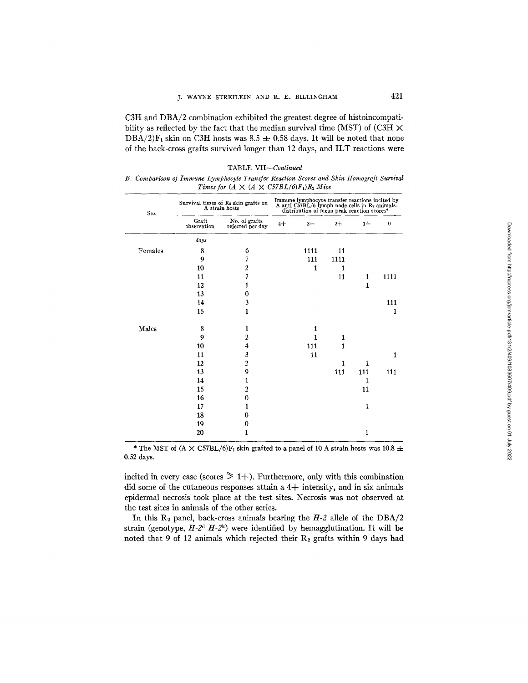C3H and DBA/2 combination exhibited the greatest degree of histoincompatibility as reflected by the fact that the median survival time (MST) of (C3H  $\times$ DBA/2)F<sub>1</sub> skin on C3H hosts was 8.5  $\pm$  0.58 days. It will be noted that none of the back-cross grafts survived longer than 12 days, and ILT reactions were

|  | TABLE VII-Continued |
|--|---------------------|
|--|---------------------|

*B. Comparison of Immune Lymphocyte Transfer Reaction Scores and Skin Homograft Survival Times for*  $(A \times (A \times C57BL/6)F_1)R_2$  *Mice* 

| Sex     | Survival times of R2 skin grafts on<br>A strain hosts | Immune lymphocyte transfer reactions incited by A anti-C57BL/6 lymph node cells in $R_2$ animals:<br>distribution of mean peak reaction scores* |      |              |              |              |      |  |
|---------|-------------------------------------------------------|-------------------------------------------------------------------------------------------------------------------------------------------------|------|--------------|--------------|--------------|------|--|
|         | Graft<br>observation                                  | No. of grafts<br>rejected per day                                                                                                               | $4+$ | $3+$         | $2+$         | $1+$         | 0    |  |
|         | days                                                  |                                                                                                                                                 |      |              |              |              |      |  |
| Females | 8                                                     | 6                                                                                                                                               |      | 1111         | 11           |              |      |  |
|         | 9                                                     | 7                                                                                                                                               |      | 111          | 1111         |              |      |  |
|         | 10                                                    | 2                                                                                                                                               |      | $\mathbf{1}$ | $\mathbf{1}$ |              |      |  |
|         | 11                                                    | 7                                                                                                                                               |      |              | 11           | 1            | 1111 |  |
|         | 12                                                    | 1                                                                                                                                               |      |              |              | $\mathbf{1}$ |      |  |
|         | 13                                                    | $\bf{0}$                                                                                                                                        |      |              |              |              |      |  |
|         | 14                                                    | 3                                                                                                                                               |      |              |              |              | 111  |  |
|         | 15                                                    | 1                                                                                                                                               |      |              |              |              | 1    |  |
| Males   | 8                                                     | 1                                                                                                                                               |      | 1            |              |              |      |  |
|         | 9                                                     | 2                                                                                                                                               |      | 1            | 1            |              |      |  |
|         | 10                                                    | 4                                                                                                                                               |      | 111          | $\mathbf{1}$ |              |      |  |
|         | 11                                                    | 3                                                                                                                                               |      | 11           |              |              | 1    |  |
|         | 12                                                    | $\boldsymbol{2}$                                                                                                                                |      |              | 1            | 1            |      |  |
|         | 13                                                    | 9                                                                                                                                               |      |              | 111          | 111          | 111  |  |
|         | 14                                                    | 1                                                                                                                                               |      |              |              | $\mathbf{1}$ |      |  |
|         | 15                                                    | 2                                                                                                                                               |      |              |              | 11           |      |  |
|         | 16                                                    | 0                                                                                                                                               |      |              |              |              |      |  |
|         | 17                                                    | 1                                                                                                                                               |      |              |              | 1            |      |  |
|         | 18                                                    | 0                                                                                                                                               |      |              |              |              |      |  |
|         | 19                                                    | 0                                                                                                                                               |      |              |              |              |      |  |
|         | 20                                                    | 1                                                                                                                                               |      |              |              | 1            |      |  |

\* The MST of (A  $\times$  C57BL/6)F<sub>1</sub> skin grafted to a panel of 10 A strain hosts was 10.8  $\pm$ 0.52 days.

incited in every case (scores  $\geq 1+$ ). Furthermore, only with this combination did some of the cutaneous responses attain a  $4+$  intensity, and in six animals epidermal necrosis took place at the test sites. Necrosis was not observed at the test sites in animals of the other series.

In this  $R_2$  panel, back-cross animals bearing the  $H-2$  allele of the DBA/2 strain (genotype,  $H-2^d$   $H-2^k$ ) were identified by hemagglutination. It will be noted that 9 of 12 animals which rejected their  $R_2$  grafts within 9 days had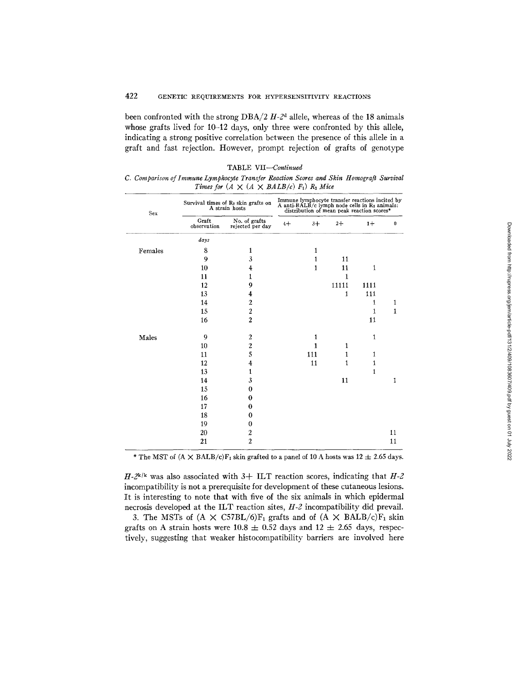## 422 GENETIC REQUIREMENTS FOR HYPERSENSITIVITY REACTIONS

been confronted with the strong  $DBA/2 H-2<sup>d</sup>$  allele, whereas of the 18 animals whose grafts lived for 10-12 days, only three were confronted by this allele, indicating a strong positive correlation between the presence of this allele in a graft and fast rejection. However, prompt rejection of grafts of genotype

| TABLE VII-Continued |
|---------------------|
|---------------------|

*C. Comparison of Immune Lymphocyte Transfer Reaction Scores and Skin Homograft Survival Times for*  $(A \times (A \times BALB/c) F_1) R_2$  Mice

| Sex     | Survival times of R <sub>2</sub> skin grafts on<br>A strain hosts | Immune lymphocyte transfer reactions incited by<br>A anti-BALB/c lymph node cells in $R_2$ animals:<br>distribution of mean peak reaction scores* |      |              |       |              |              |  |
|---------|-------------------------------------------------------------------|---------------------------------------------------------------------------------------------------------------------------------------------------|------|--------------|-------|--------------|--------------|--|
|         | Graft<br>observation                                              | No. of grafts<br>rejected per day                                                                                                                 | $4+$ | $3+$         | $2+$  | $1+$         | $\bf{0}$     |  |
|         | days                                                              |                                                                                                                                                   |      |              |       |              |              |  |
| Females | 8                                                                 | 1                                                                                                                                                 |      | 1            |       |              |              |  |
|         | 9                                                                 | 3                                                                                                                                                 |      | 1            | 11    |              |              |  |
|         | 10                                                                | 4                                                                                                                                                 |      | $\mathbf{1}$ | 11    | 1            |              |  |
|         | 11                                                                | $\mathbf{1}$                                                                                                                                      |      |              | 1     |              |              |  |
|         | 12                                                                | 9                                                                                                                                                 |      |              | 11111 | 1111         |              |  |
|         | 13                                                                | 4                                                                                                                                                 |      |              | 1     | 111          |              |  |
|         | 14                                                                | $\overline{a}$                                                                                                                                    |      |              |       | $\mathbf{1}$ | 1            |  |
|         | 15                                                                | $\overline{c}$                                                                                                                                    |      |              |       | 1            | 1            |  |
|         | 16                                                                | $\overline{2}$                                                                                                                                    |      |              |       | 11           |              |  |
| Males   | 9                                                                 | $\overline{2}$                                                                                                                                    |      | $\mathbf{1}$ |       | 1            |              |  |
|         | 10                                                                | $\overline{c}$                                                                                                                                    |      | 1            | 1     |              |              |  |
|         | 11                                                                | 5                                                                                                                                                 |      | 111          | 1     | 1            |              |  |
|         | 12                                                                | 4                                                                                                                                                 |      | 11           | 1     | 1            |              |  |
|         | 13                                                                | $\mathbf{1}$                                                                                                                                      |      |              |       | 1            |              |  |
|         | 14                                                                | 3                                                                                                                                                 |      |              | 11    |              | $\mathbf{1}$ |  |
|         | 15                                                                | $\bf{0}$                                                                                                                                          |      |              |       |              |              |  |
|         | 16                                                                | $\bf{0}$                                                                                                                                          |      |              |       |              |              |  |
|         | 17                                                                | $\bf{0}$                                                                                                                                          |      |              |       |              |              |  |
|         | 18                                                                | $\mathbf{0}$                                                                                                                                      |      |              |       |              |              |  |
|         | 19                                                                | $\theta$                                                                                                                                          |      |              |       |              |              |  |
|         | 20                                                                | $\boldsymbol{2}$                                                                                                                                  |      |              |       |              | 11           |  |
|         | 21                                                                | $\overline{2}$                                                                                                                                    |      |              |       |              | 11           |  |

\* The MST of  $(A \times BALB/c)F_1$  skin grafted to a panel of 10 A hosts was  $12 \pm 2.65$  days.

 $H$ -2<sup>k/k</sup> was also associated with  $3+$  ILT reaction scores, indicating that  $H$ -2 incompatibility is not a prerequisite for development of these cutaneous lesions. It is interesting to note that with five of the six animals in which epidermal necrosis developed at the ILT reaction sites, *H-2* incompatibility did prevail.

3. The MSTs of  $(A \times C57BL/6)F_1$  grafts and of  $(A \times BALB/c)F_1$  skin grafts on A strain hosts were  $10.8 \pm 0.52$  days and  $12 \pm 2.65$  days, respectively, suggesting that weaker histocompatibility barriers are involved here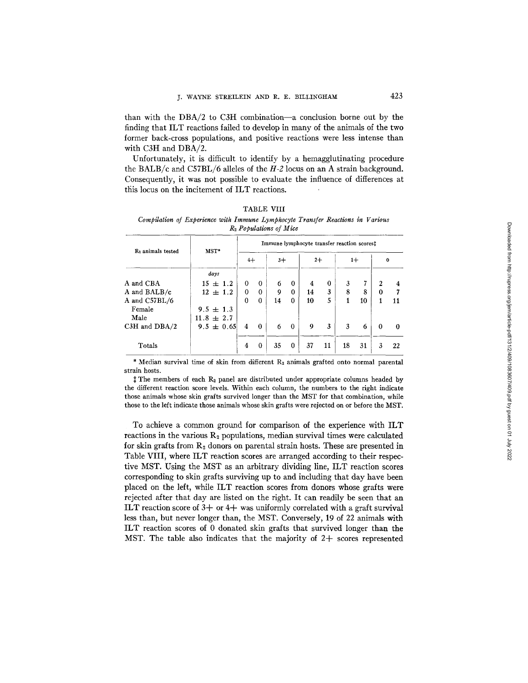than with the DBA/2 to C3H combination--a conclusion borne out by the finding that ILT reactions failed to develop in many of the animals of the two former back-cross populations, and positive reactions were less intense than with C3H and DBA/2.

Unfortunately, it is difficult to identify by a hemagglutinating procedure the BALB/c and C57BL/6 alleles of the *H-2* locus on an A strain background. Consequently, it was not possible to evaluate the influence of differences at this locus on the incitement of ILT reactions.

| R <sub>2</sub> animals tested | MST*           | Immune lymphocyte transfer reaction scorest |          |      |          |      |    |      |    |                |    |  |
|-------------------------------|----------------|---------------------------------------------|----------|------|----------|------|----|------|----|----------------|----|--|
|                               |                | $4+$                                        |          | $3+$ |          | $2+$ |    | $1+$ |    | $\bf{0}$       |    |  |
|                               | days           |                                             |          |      |          |      |    |      |    |                |    |  |
| A and CBA                     | $15 \pm 1.2$   | 0                                           | $\bf{0}$ | 6    | $\bf{0}$ | 4    | 0  | 3    | 7  | $\overline{c}$ | 4  |  |
| A and BALB/c                  | $12 \pm 1.2$   | $\Omega$                                    | $\Omega$ | 9    | $\theta$ | 14   | 3  | 8    | 8  | $\theta$       | 7  |  |
| A and C57BL/6                 |                | $\mathbf{0}$                                | $\Omega$ | 14   | $\Omega$ | 10   | 5  |      | 10 | 1              | 11 |  |
| Female                        | $9.5 \pm 1.3$  |                                             |          |      |          |      |    |      |    |                |    |  |
| Male                          | $11.8 \pm 2.7$ |                                             |          |      |          |      |    |      |    |                |    |  |
| C3H and DBA/2                 | $9.5 \pm 0.65$ | $\overline{4}$                              | $\bf{0}$ | 6    | $\bf{0}$ | 9    | 3  | 3    | 6  | $\bf{0}$       | 0  |  |
| Totals                        |                | 4                                           | $\bf{0}$ | 35   | $\bf{0}$ | 37   | 11 | 18   | 31 | 3              | 22 |  |

TABLE VIII

*Compilation of Experience with Immune Lymphocyte Transfer Reactions in Various R2 Populations of Mice* 

\* Median survival time of skin from different  $R_2$  animals grafted onto normal parental strain hosts.

 $\ddagger$  The members of each  $R_2$  panel are distributed under appropriate columns headed by the different reaction score levels. Within each column, the numbers to the right indicate those animals whose skin grafts survived longer than the MST for that combination, while those to the left indicate those animals whose skin grafts were rejected on or before the MST.

To achieve a common ground for comparison of the experience with ILT reactions in the various  $R_2$  populations, median survival times were calculated for skin grafts from  $R_2$  donors on parental strain hosts. These are presented in Table VIII, where ILT reaction scores are arranged according to their respective MST. Using the MST as an arbitrary dividing line, ILT reaction scores corresponding to skin grafts surviving up to and including that day have been placed on the left, while ILT reaction scores from donors whose grafts were rejected after that day are listed on the right. It can readily be seen that an ILT reaction score of  $3+$  or  $4+$  was uniformly correlated with a graft survival less than, but never longer than, the MST. Conversely, 19 of 22 animals with ILT reaction scores of 0 donated skin grafts that survived longer than the MST. The table also indicates that the majority of  $2+$  scores represented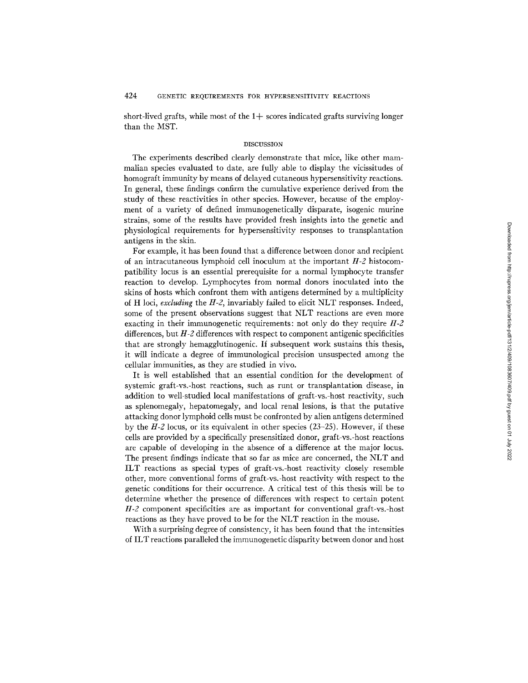short-lived grafts, while most of the  $1+$  scores indicated grafts surviving longer than the MST.

#### DISCUSSION

The experiments described clearly demonstrate that mice, like other mammalian species evaluated to date, are fully able to display the vicissitudes of homograft immunity by means of delayed cutaneous hypersensitivity reactions. In general, these findings confirm the cumulative experience derived from the study of these reactivities in other species. However, because of the employment of a variety of defined immunogenetically disparate, isogenic murine strains, some of the results have provided fresh insights into the genetic and physiological requirements for hypersensitivity responses to transplantation antigens in the skin.

For example, it has been found that a difference between donor and recipient of an intracutaneous lymphoid cell inoculum at the important *H-2* histocompatibility locus is an essential prerequisite for a normal lymphocyte transfer reaction to develop. Lymphocytes from normal donors inoculated into the skins of hosts which confront them with antigens determined by a multiplicity of H loci, *excluding* the *H-2,* invariably failed to elicit NLT responses. Indeed, some of the present observations suggest that NLT reactions are even more exacting in their immunogenetic requirements: not only do they require *H-2*  differences, but *H-2* differences with respect to component antigenic specificities that are strongly hemagglutinogenic. If subsequent work sustains this thesis, it will indicate a degree of immunological precision unsuspected among the cellular immunities, as they are studied in vivo.

It is well established that an essential condition for the development of systemic graft-vs.-host reactions, such as runt or transplantation disease, in addition to well-studied local manifestations of graft-vs.-host reactivity, such as splenomegaly, hepatomegaly, and local renal lesions, is that the putative attacking donor lymphoid cells must be confronted by alien antigens determined by the *H-2* locus, or its equivalent in other species (23-25). However, if these cells are provided by a specifically presensitized donor, graft-vs.-host reactions are capable of developing in the absence of a difference at the major locus. The present findings indicate that so far as mice are concerned, the NLT and ILT reactions as special types of graft-vs.-host reactivity closely resemble other, more conventional forms of graft-vs.-host reactivity with respect to the genetic conditions for their occurrence. A critical test of this thesis will be to determine whether the presence of differences with respect to certain potent H-2 component specificities are as important for conventional graft-vs.-host reactions as they have proved to be for the NLT reaction in the mouse.

With a surprising degree of consistency, it has been found that the intensities of ILT reactions paralleled the immunogenetic disparity between donor and host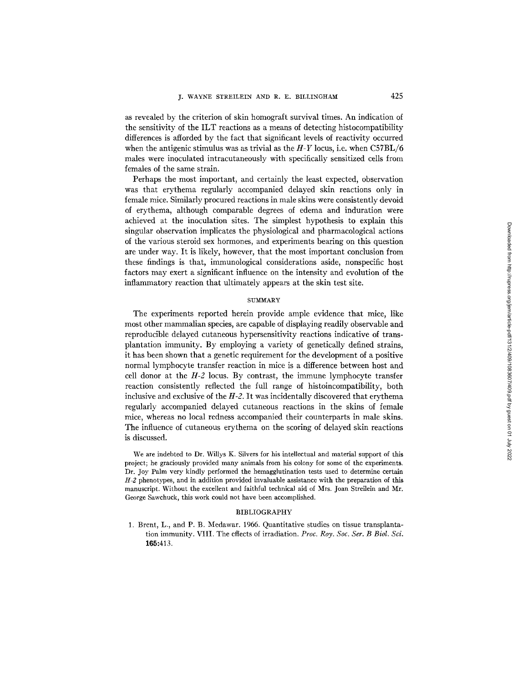as revealed by the criterion of skin homograft survival times. An indication of the sensitivity of the ILT reactions as a means of detecting histocompatibility differences is afforded by the fact that significant levels of reactivity occurred when the antigenic stimulus was as trivial as the *H-Y* locus, i.e. when C57BL/6 males were inoculated intracutaneously with specifically sensitized cells from females of the same strain.

Perhaps the most important, and certainly the least expected, observation was that erythema regularly accompanied delayed skin reactions only in female mice. Similarly procured reactions in male skins were consistently devoid of erythema, although comparable degrees of edema and induration were achieved at the inoculation sites. The simplest hypothesis to explain this singular observation implicates the physiological and pharmacological actions of the various steroid sex hormones, and experiments bearing on this question are under way. It is likely, however, that the most important conclusion from these findings is that, immunological considerations aside, nonspecific host factors may exert a significant influence on the intensity and evolution of the inflammatory reaction that ultimately appears at the skin test site.

#### SUMMARY

The experiments reported herein provide ample evidence that mice, like most other mammalian species, are capable of displaying readily observable and reproducible delayed cutaneous hypersensitivity reactions indicative of transplantation immunity. By employing a variety of genetically defined strains, it has been shown that a genetic requirement for the development of a positive normal lymphocyte transfer reaction in mice is a difference between host and cell donor at the *H-2* locus. By contrast, the immune lymphocyte transfer reaction consistently reflected the full range of histoincompatibility, both inclusive and exclusive of the *H-2.* It was incidentally discovered that erythema regularly accompanied delayed cutaneous reactions in the skins of female mice, whereas no local redness accompanied their counterparts in male skins. The influence of cutaneous erythema on the scoring of delayed skin reactions is discussed.

We are indebted to Dr. Willys K. Silvers for his intellectual and material support of this project; he graciously provided many animals from his colony for some of the experiments. Dr. Joy Palm very kindly performed the hemagglutination tests used to determine certain *H-2* phenotypes, and in addition provided invaluable assistance with the preparation of this manuscript. Without the excellent and faithful technical aid of Mrs. Joan Streilein and Mr. George Sawchuck, this work could not have been accomplished.

#### *BIBLIOGRAPHY*

1. Brent, L., and P. B. Medawar. 1966. Quantitative studies on tissue transplantation immunity. VIII. The effects of irradiation. *Proc. Roy. Soc. Ser. B Biol. Sci.*  165:413.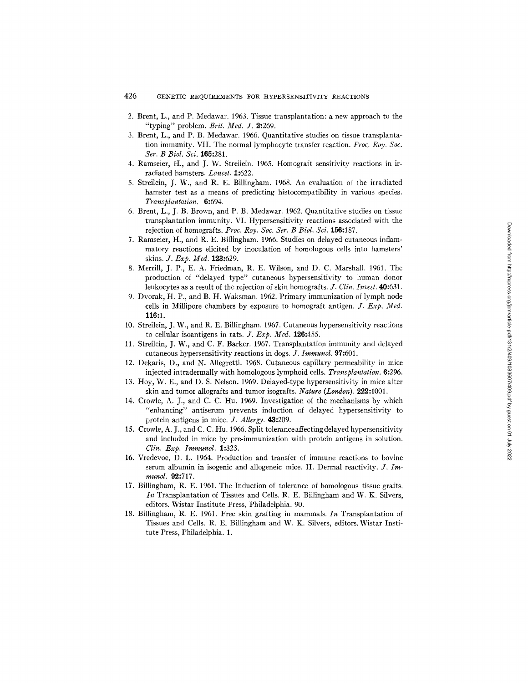- 2. Brent, L., and P. Medawar. 1963. Tissue transplantation: a new approach to the "typing" problem. *Brit. Med. J.* 2:269.
- 3. Brent, L., and P. B. Medawar. 1966. Quantitative studies on tissue transplantation immunity. VII. The normal lymphocyte transfer reaction. *Proc. Roy. Soc. Ser. B Biol. Sci.* 165:281.
- 4. Ramseier, H., and J. W. Streilein. 1965. Homograft sensitivity reactions in irradiated hamsters. *Lancet.* 1:622.
- 5. Streilein, J. W., and R. E. Billingham. 1968. An evaluation of the irradiated hamster test as a means of predicting histocompatibility in various species. *Transplantation.* 6:694.
- 6. Brent, L., J. B. Brown, and P. B. Medawar. 1962. Quantitative studies on tissue transplantation immunity. VI. Hypersensitivity reactions associated with the rejection of homografts. *Proc. Roy. Soc. Ser. B Biol. Sci.* 156:187.
- 7. Ramseier, H., and R. E. Billingham. 1966. Studies on delayed cutaneous inflammatory reactions elicited by inoculation of homologous cells into hamsters' skins. *J. Exp. Med.* 123:629.
- 8. Merrill, J. P., E. A. Friedman, R. E. Wilson, and D. C. Marshall. 1961. The production of "delayed type" cutaneous hypersensitivity to human donor leukocytes as a result of the rejection of skin homografts. *Y. Clin. Invest.* 40:631.
- 9. Dvorak, H. P., and B. H. Waksman. 1962. Primary immunization of lymph node cells in Millipore chambers by exposure to homograft antigen. *J. Exp. Med.*  **116:1.**
- 10. Streilein, J. W., and R. E. Billingham. 1967. Cutaneous hypersensitivity reactions to cellular isoantigens in rats. *J. Exp. Med.* 126:455.
- 11. Streilein, J. W., and C. F. Barker. 1967. Transplantation immunity and delayed cutaneous hypersensitivity reactions in dogs. *Y. Immunol.* 97:601.
- 12. Dekaris, D., and N. Allegretti. 1968. Cutaneous capillary permeability in mice injected intradermally with homologous lymphoid cells. *Transplantation.* 6:296.
- 13. Hoy, W. E., and D. S. Nelson. 1969. Delayed-type hypersensitivity in mice after skin and tumor allografts and tumor isografts. *Nature (London).* 222:1001.
- 14. Crowle, A. J., and C. C. Hu. 1969. Investigation of the mechanisms by which "enhancing" antiserum prevents induction of delayed hypersensitivity to protein antigens in mice. *J. Allergy.* 43:209.
- 15. Crowle, A. J., and C. C. Hu. 1966. Split toleranceaffectingdelayed hypersensitivity and included in mice by pre-immunization with protein antigens in solution. *Clin. Exp. Immunol.* 1:323.
- 16. Vredevoe, D. L. 1964. Production and transfer of immune reactions to bovine serum albumin in isogenic and allogeneic mice. II. Dermal reactivity. *J. Immunol.* 92:717.
- 17. Billingham, R. E. 1961. The Induction of tolerance of homologous tissue grafts. In Transplantation of Tissues and Cells. R. E. Billingham and W. K. Silvers, editors. Wistar Institute Press, Philadelphia. 90.
- 18. Billingham, R. E. 1961. Free skin grafting in mammals. *In* Transplantation of Tissues and Cells. R. E. Billingham and W. K. Silvers, editors. Wistar Institute Press, Philadelphia. 1.